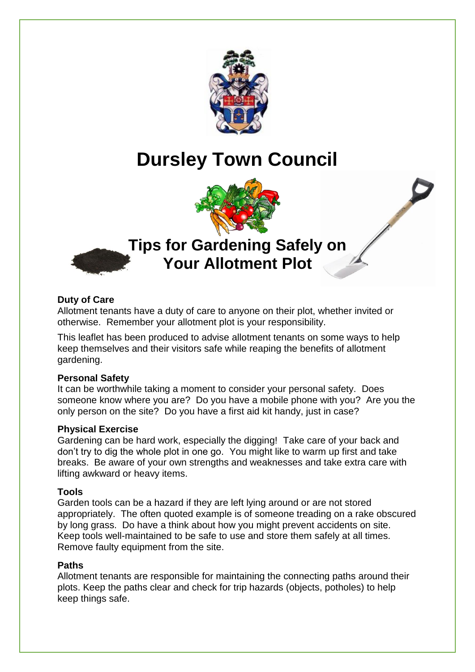

# **Dursley Town Council**



# **Tips for Gardening Safely on Your Allotment Plot**



# **Duty of Care**

Allotment tenants have a duty of care to anyone on their plot, whether invited or otherwise. Remember your allotment plot is your responsibility.

This leaflet has been produced to advise allotment tenants on some ways to help keep themselves and their visitors safe while reaping the benefits of allotment gardening.

# **Personal Safety**

It can be worthwhile taking a moment to consider your personal safety. Does someone know where you are? Do you have a mobile phone with you? Are you the only person on the site? Do you have a first aid kit handy, just in case?

# **Physical Exercise**

Gardening can be hard work, especially the digging! Take care of your back and don't try to dig the whole plot in one go. You might like to warm up first and take breaks. Be aware of your own strengths and weaknesses and take extra care with lifting awkward or heavy items.

# **Tools**

Garden tools can be a hazard if they are left lying around or are not stored appropriately. The often quoted example is of someone treading on a rake obscured by long grass. Do have a think about how you might prevent accidents on site. Keep tools well-maintained to be safe to use and store them safely at all times. Remove faulty equipment from the site.

# **Paths**

Allotment tenants are responsible for maintaining the connecting paths around their plots. Keep the paths clear and check for trip hazards (objects, potholes) to help keep things safe.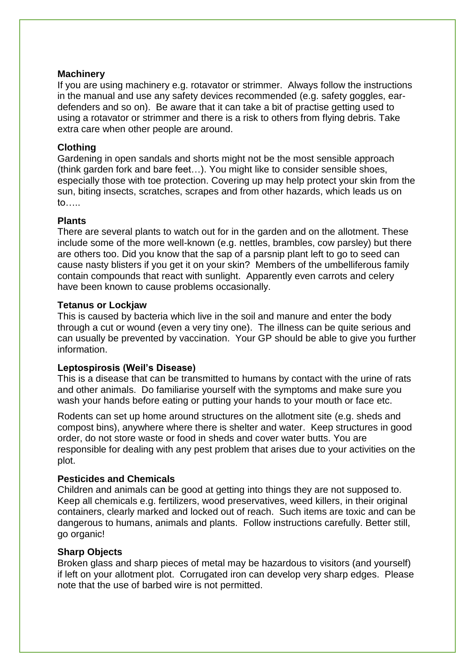# **Machinery**

If you are using machinery e.g. rotavator or strimmer. Always follow the instructions in the manual and use any safety devices recommended (e.g. safety goggles, eardefenders and so on). Be aware that it can take a bit of practise getting used to using a rotavator or strimmer and there is a risk to others from flying debris. Take extra care when other people are around.

# **Clothing**

Gardening in open sandals and shorts might not be the most sensible approach (think garden fork and bare feet…). You might like to consider sensible shoes, especially those with toe protection. Covering up may help protect your skin from the sun, biting insects, scratches, scrapes and from other hazards, which leads us on to…..

# **Plants**

There are several plants to watch out for in the garden and on the allotment. These include some of the more well-known (e.g. nettles, brambles, cow parsley) but there are others too. Did you know that the sap of a parsnip plant left to go to seed can cause nasty blisters if you get it on your skin? Members of the umbelliferous family contain compounds that react with sunlight. Apparently even carrots and celery have been known to cause problems occasionally.

# **Tetanus or Lockjaw**

This is caused by bacteria which live in the soil and manure and enter the body through a cut or wound (even a very tiny one). The illness can be quite serious and can usually be prevented by vaccination. Your GP should be able to give you further information.

# **Leptospirosis (Weil's Disease)**

This is a disease that can be transmitted to humans by contact with the urine of rats and other animals. Do familiarise yourself with the symptoms and make sure you wash your hands before eating or putting your hands to your mouth or face etc.

Rodents can set up home around structures on the allotment site (e.g. sheds and compost bins), anywhere where there is shelter and water. Keep structures in good order, do not store waste or food in sheds and cover water butts. You are responsible for dealing with any pest problem that arises due to your activities on the plot.

# **Pesticides and Chemicals**

Children and animals can be good at getting into things they are not supposed to. Keep all chemicals e.g. fertilizers, wood preservatives, weed killers, in their original containers, clearly marked and locked out of reach. Such items are toxic and can be dangerous to humans, animals and plants. Follow instructions carefully. Better still, go organic!

# **Sharp Objects**

Broken glass and sharp pieces of metal may be hazardous to visitors (and yourself) if left on your allotment plot. Corrugated iron can develop very sharp edges. Please note that the use of barbed wire is not permitted.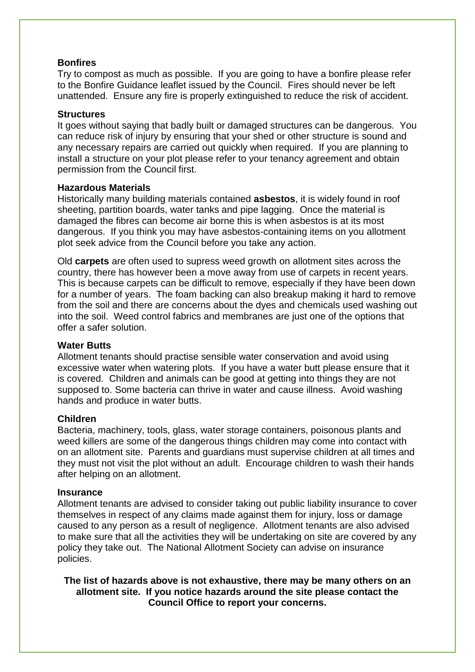# **Bonfires**

Try to compost as much as possible. If you are going to have a bonfire please refer to the Bonfire Guidance leaflet issued by the Council. Fires should never be left unattended. Ensure any fire is properly extinguished to reduce the risk of accident.

# **Structures**

It goes without saying that badly built or damaged structures can be dangerous. You can reduce risk of injury by ensuring that your shed or other structure is sound and any necessary repairs are carried out quickly when required. If you are planning to install a structure on your plot please refer to your tenancy agreement and obtain permission from the Council first.

#### **Hazardous Materials**

Historically many building materials contained **asbestos**, it is widely found in roof sheeting, partition boards, water tanks and pipe lagging. Once the material is damaged the fibres can become air borne this is when asbestos is at its most dangerous. If you think you may have asbestos-containing items on you allotment plot seek advice from the Council before you take any action.

Old **carpets** are often used to supress weed growth on allotment sites across the country, there has however been a move away from use of carpets in recent years. This is because carpets can be difficult to remove, especially if they have been down for a number of years. The foam backing can also breakup making it hard to remove from the soil and there are concerns about the dyes and chemicals used washing out into the soil. Weed control fabrics and membranes are just one of the options that offer a safer solution.

# **Water Butts**

Allotment tenants should practise sensible water conservation and avoid using excessive water when watering plots. If you have a water butt please ensure that it is covered. Children and animals can be good at getting into things they are not supposed to. Some bacteria can thrive in water and cause illness. Avoid washing hands and produce in water butts.

# **Children**

Bacteria, machinery, tools, glass, water storage containers, poisonous plants and weed killers are some of the dangerous things children may come into contact with on an allotment site. Parents and guardians must supervise children at all times and they must not visit the plot without an adult. Encourage children to wash their hands after helping on an allotment.

#### **Insurance**

Allotment tenants are advised to consider taking out public liability insurance to cover themselves in respect of any claims made against them for injury, loss or damage caused to any person as a result of negligence. Allotment tenants are also advised to make sure that all the activities they will be undertaking on site are covered by any policy they take out. The National Allotment Society can advise on insurance policies.

**The list of hazards above is not exhaustive, there may be many others on an allotment site. If you notice hazards around the site please contact the Council Office to report your concerns.**